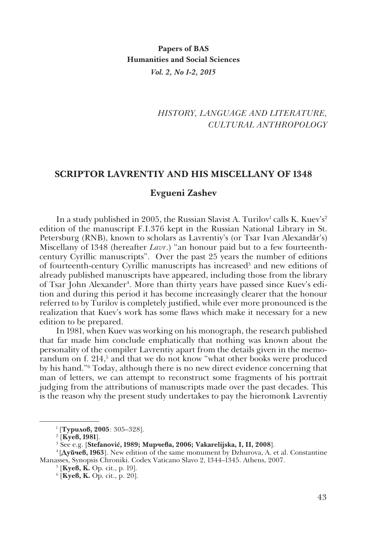# *HISTORY, LANGUAGE AND LITERATURE, CULTURAL ANTHROPOLOGY*

### **SCRIPTOR LAVRENTIY AND HIS MISCELLANY OF 1348**

## **Evgueni Zashev**

In a study published in 2005, the Russian Slavist A. Turilov<sup>1</sup> calls K. Kuev's<sup>2</sup> edition of the manuscript F.I.376 kept in the Russian National Library in St. Petersburg (RNB), known to scholars as Lavrentiy's (or Tsar Ivan Alexandăr's) Miscellany of 1348 (hereafter *Lavr*.) "an honour paid but to a few fourteenthcentury Cyrillic manuscripts". Over the past 25 years the number of editions of fourteenth-century Cyrillic manuscripts has increased<sup>3</sup> and new editions of already published manuscripts have appeared, including those from the library of Tsar John Alexander<sup>4</sup>. More than thirty years have passed since Kuev's edition and during this period it has become increasingly clearer that the honour referred to by Turilov is completely justified, while ever more pronounced is the realization that Kuev's work has some flaws which make it necessary for a new edition to be prepared.

In 1981, when Kuev was working on his monograph, the research published that far made him conclude emphatically that nothing was known about the personality of the compiler Lavrentiy apart from the details given in the memorandum on f. 214,<sup>5</sup> and that we do not know "what other books were produced by his hand."6 Today, although there is no new direct evidence concerning that man of letters, we can attempt to reconstruct some fragments of his portrait judging from the attributions of manuscripts made over the past decades. This is the reason why the present study undertakes to pay the hieromonk Lavrentiy

[**Куев, К.** Ор. cit., p. 19].

<sup>1</sup> [**Турилов, 2005**: 305–328].

<sup>&</sup>lt;sup>2</sup> [**Куев, 1981**].<br><sup>3</sup> See e σ. [**Stefa** 

See e.g. [**Stefanović, 1989; Мирчева, 2006; Vakarelijska, I, II, 2008**].

<sup>4 [</sup>**Дуйчев, 1963**]. New edition of the same monument by Dzhurova, A. еt al. Constantine Manasses, Synopsis Chroniki. Codex Vaticano Slavo 2, 1344–1345. Athens, 2007. 5

<sup>6</sup> [**Куев, К.** Ор. cit., p. 20].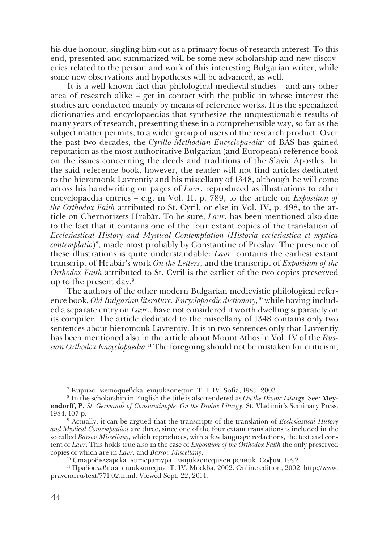his due honour, singling him out as a primary focus of research interest. To this end, presented and summarized will be some new scholarship and new discoveries related to the person and work of this interesting Bulgarian writer, while some new observations and hypotheses will be advanced, as well.

It is a well-known fact that philological medieval studies – and any other area of research alike – get in contact with the public in whose interest the studies are conducted mainly by means of reference works. It is the specialized dictionaries and encyclopaedias that synthesize the unquestionable results of many years of research, presenting these in a comprehensible way, so far as the subject matter permits, to a wider group of users of the research product. Over the past two decades, the *Cyrillo-Methodian Encyclopaedia*<sup>7</sup> of BAS has gained reputation as the most authoritative Bulgarian (and European) reference book on the issues concerning the deeds and traditions of the Slavic Apostles. In the said reference book, however, the reader will not find articles dedicated to the hieromonk Lavrentiy and his miscellany of 1348, although he will come across his handwriting on pages of *Lavr*. reproduced as illustrations to other encyclopaedia entries – e.g. in Vol. II, p. 789, to the article on *Exposition of the Orthodox Faith* attributed to St. Cyril, or else in Vol. IV, p. 498, to the article on Chernorizets Hrabăr. To be sure, *Lavr*. has been mentioned also due to the fact that it contains one of the four extant copies of the translation of *Ecclesiastical History and Mystical Contemplation* (*Historia ecclesiastica et mystica contemplatio*)8 , made most probably by Constantine of Preslav. The presence of these illustrations is quite understandable: *Lavr*. contains the earliest extant transcript of Hrabăr's work *Оn the Letters*, and the transcript of *Exposition of the Orthodox Faith* attributed to St. Cyril is the earlier of the two copies preserved up to the present day.9

The authors of the other modern Bulgarian medievistic philological reference book, *Old Bulgarian literature. Encyclopaedic dictionary*,<sup>10</sup> while having included a separate entry on *Lavr*., have not considered it worth dwelling separately on its compiler. The article dedicated to the miscellany of 1348 contains only two sentences about hieromonk Lavrentiy. It is in two sentences only that Lavrentiy has been mentioned also in the article about Mount Athos in Vol. IV of the *Russian Orthodox Encyclopaedia.*11 The foregoing should not be mistaken for criticism,

<sup>7</sup> Кирило–методиевска енциклопедия. Т. І–ІV. Sofia, 1985–2003.

<sup>8</sup> In the scholarship in English the title is also rendered as *On the Divine Liturgy*. See: **Meyendorff, P.** *St. Germanus of Constantinople*. *On the Divine Liturgy*. St. Vladimir's Seminary Press, 1984, 107 p.

Actually, it can be argued that the transcripts of the translation of *Ecclesiastical History and Mystical Contemplation* are three, since one of the four extant translations is included in the so called *Barsov Miscellany*, which reproduces, with a few language redactions, the text and content of *Lavr*. This holds true also in the case of *Exposition of the Orthodox Faith* the only preserved copies of which are in *Lavr*. and *Barsov Miscellany*.

<sup>10</sup> Старобългарска литература. Енциклопедичен речник. София, 1992.

<sup>11</sup> Православная энциклопедия. T. ІV. Москва, 2002. Online edition, 2002. http://www. pravenc.ru/text/771 02.html. Viewed Sept. 22, 2014.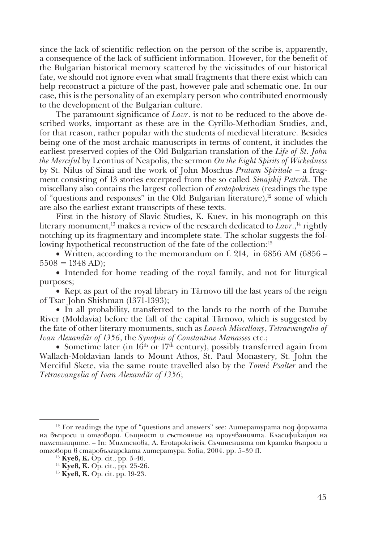since the lack of scientific reflection on the person of the scribe is, apparently, a consequence of the lack of sufficient information. However, for the benefit of the Bulgarian historical memory scattered by the vicissitudes of our historical fate, we should not ignore even what small fragments that there exist which can help reconstruct a picture of the past, however pale and schematic one. In our case, this is the personality of an exemplary person who contributed enormously to the development of the Bulgarian culture.

The paramount significance of *Lavr*. is not to be reduced to the above described works, important as these are in the Cyrillo-Methodian Studies, and, for that reason, rather popular with the students of medieval literature. Besides being one of the most archaic manuscripts in terms of content, it includes the earliest preserved copies of the Old Bulgarian translation of the *Life of St. John the Merciful* by Leontius of Neapolis, the sermon *On the Eight Spirits of Wickedness* by St. Nilus of Sinai and the work of John Moschus *Pratum Spiritale* – a fragment consisting of 13 stories excerpted from the so called *Sinajskij Paterik*. The miscellany also contains the largest collection of *erotapokriseis* (readings the type of "questions and responses" in the Old Bulgarian literature), $12$  some of which are also the earliest extant transcripts of these texts.

First in the history of Slavic Studies, K. Kuev, in his monograph on this literary monument,<sup>13</sup> makes a review of the research dedicated to *Lavr*.,<sup>14</sup> rightly notching up its fragmentary and incomplete state. The scholar suggests the following hypothetical reconstruction of the fate of the collection:<sup>15</sup>

• Written, according to the memorandum on f. 214, in 6856 AM (6856 –  $5508 = 1348$  AD);

• Intended for home reading of the royal family, and not for liturgical purposes;

• Kept as part of the royal library in Tărnovo till the last years of the reign of Tsar John Shishman (1371-1393);

• In all probability, transferred to the lands to the north of the Danube River (Moldavia) before the fall of the capital Tărnovo, which is suggested by the fate of other literary monuments, such as *Lovech Miscellany*, *Tetraevangelia of Ivan Alexandăr of 1356*, the *Synopsis of Constantine Manasses* etc.;

• Sometime later (in  $16<sup>th</sup>$  or  $17<sup>th</sup>$  century), possibly transferred again from Wallach-Moldavian lands to Mount Athos, St. Paul Monastery, St. John the Merciful Skete, via the same route travelled also by the *Tomić Psalter* and the *Tetraevangelia of Ivan Alexandăr of 1356*;

 $12$  For readings the type of "questions and answers" see: Литературата под формата на въпроси и отговори. Същност и състояние на проучванията. Класификация на паметниците. – In: Милтенова, А. Erotapokriseis. Съчиненията от кратки въпроси и отговори в старобългарската литература. Sofia, 2004. pp. 5–39 ff. 13 **Куев, К.** Op. cit., pp. 5-46.

<sup>&</sup>lt;sup>14</sup> **Куев, К.** Ор. cit., pp. 25-26.

<sup>15</sup> **Куев, К.** Op. cit. pp. 19-23.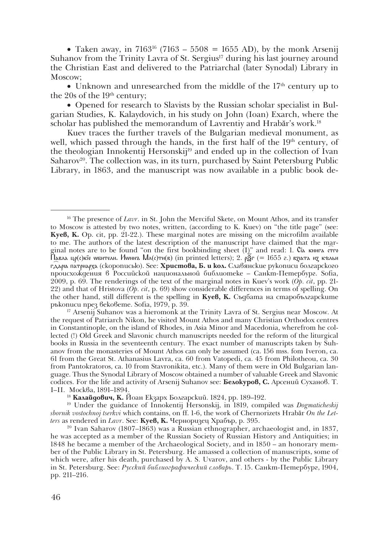• Taken away, in  $7163^{16}$  (7163 – 5508 = 1655 AD), by the monk Arsenij Suhanov from the Trinity Lavra of St. Sergius<sup>17</sup> during his last journey around the Christian East and delivered to the Patriarchal (later Synodal) Library in Moscow;

• Unknown and unresearched from the middle of the  $17<sup>th</sup>$  century up to the 20s of the 19<sup>th</sup> century;

• Opened for research to Slavists by the Russian scholar specialist in Bulgarian Studies, K. Kalaydovich, in his study on John (Ioan) Exarch, where the scholar has published the memorandum of Lavrentiy and Hrabăr's work.18

Kuev traces the further travels of the Bulgarian medieval monument, as well, which passed through the hands, in the first half of the 19<sup>th</sup> century, of the theologian Innokentij Hersonskij<sup>19</sup> and ended up in the collection of Ivan Saharov<sup>20</sup>. The collection was, in its turn, purchased by Saint Petersburg Public Library, in 1863, and the manuscript was now available in a public book de-

the request of Patriarch Nikon, he visited Mount Athos and many Christian Orthodox centres in Constantinople, on the island of Rhodes, in Asia Minor and Macedonia, wherefrom he collected (!) Old Greek and Slavonic church manuscripts needed for the reform of the liturgical books in Russia in the seventeenth century. The exact number of manuscripts taken by Suhanov from the monasteries of Mount Athos can only be assumed (ca. 156 mss. fom Iveron, ca. 61 from the Great St. Athanasius Lavra, ca. 60 from Vatopedi, ca. 45 from Philotheou, ca. 30 from Pantokratoros, ca. 10 from Stavronikita, etc.). Many of them were in Old Bulgarian language. Thus the Synodal Library of Moscow obtained a number of valuable Greek and Slavonic codices. For the life and activity of Arsenij Suhanov see: **Белокуров, С.** Арсений Суханов. Т.

<sup>18</sup> Калайдович, К. Йоан Екзарх Болгарский. 1824, pp. 189–192.

<sup>19</sup> Under the guidance of Innokentij Hersonskij, in 1819, compiled was *Dogmaticheskij sbornik vostochnoj tserkvi* which contains, on ff. 1-6, the work of Chernorizets Hrabăr *On the Letters* as rendered in *Lavr*. See: **Куев, К.** Черноризец Храбър, p. 395.

20 Ivan Saharov (1807–1863) was a Russian ethnographer, archaeologist and, in 1837, he was accepted as a member of the Russian Society of Russian History and Antiquities; in 1848 he became a member of the Archaeological Society, and in 1850 – an honorary member of the Public Library in St. Petersburg. He amassed a collection of manuscripts, some of which were, after his death, purchased by A. S. Uvarov, and others - by the Public Library in St. Petersburg. See: *Русский библиографический словарь*. Т. 15. Санкт-Петербург, 1904, pp. 211–216.

<sup>16</sup> The presence of *Lavr*. in St. John the Merciful Skete, on Mount Athos, and its transfer to Moscow is attested by two notes, written, (according to K. Kuev) on "the title page" (see: **Куев, K.** Op. cit, pp. 21-22.). These marginal notes are missing on the microfilm available to me. The authors of the latest description of the manuscript have claimed that the marginal notes are to be found "on the first bookbinding sheet  $(I)$ " and read: 1. Ca книга стго Павла цр(с)кїе wбители. Иwннъ Мл(с)ти(в) (in printed letters); 2. р $\widetilde{g}_\Gamma$  (= 1655 г.) вдіата ид къльи гдђаря патриарха (скорописью). See: **Христова, Б. и кол.** Славянские рукописи болгарского происхождения в Российской национальной библиотеке – Санкт-Петербург. Sofia, 2009, p. 69. The renderings of the text of the marginal notes in Kuev's work (*Op. cit*, pp. 21-22) and that of Hristova (*Op. cit*, p. 69) show considerable differences in terms of spelling. On the other hand, still different is the spelling in **Куев, К.** Съдбата на старобългарските ръкописи през вековете. Sofia, 1979, p. 39. 17 Arsenij Suhanov was a hieromonk at the Trinity Lavra of St. Sergius near Moscow. At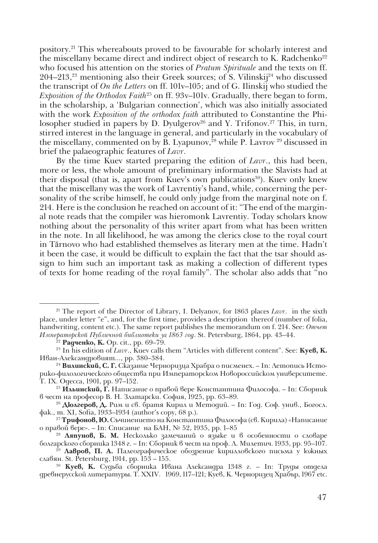pository.21 This whereabouts proved to be favourable for scholarly interest and the miscellany became direct and indirect object of research to K. Radchenko<sup>22</sup> who focused his attention on the stories of *Pratum Spirituale* and the texts on ff. 204–213,<sup>23</sup> mentioning also their Greek sources; of S. Vilinskij<sup>24</sup> who discussed the transcript of *On the Letters* on ff. 101v–105; and of G. Ilinskij who studied the *Exposition of the Orthodox Faith*25 on ff. 93v–101v. Gradually, there began to form, in the scholarship, a 'Bulgarian connection', which was also initially associated with the work *Exposition of the orthodox faith* attributed to Constantine the Philosopher studied in papers by D. Dyulgerov<sup>26</sup> and Y. Trifonov.<sup>27</sup> This, in turn, stirred interest in the language in general, and particularly in the vocabulary of the miscellany, commented on by B. Lyapunov,<sup>28</sup> while P. Lavrov <sup>29</sup> discussed in brief the palaeographic features of *Lavr*.

By the time Kuev started preparing the edition of *Lavr*., this had been, more or less, the whole amount of preliminary information the Slavists had at their disposal (that is, apart from Kuev's own publications<sup>30</sup>). Kuev only knew that the miscellany was the work of Lavrentiy's hand, while, concerning the personality of the scribe himself, he could only judge from the marginal note on f. 214. Here is the conclusion he reached on account of it: "The end of the marginal note reads that the compiler was hieromonk Lavrentiy. Today scholars know nothing about the personality of this writer apart from what has been written in the note. In all likelihood, he was among the clerics close to the royal court in Tărnovo who had established themselves as literary men at the time. Hadn't it been the case, it would be difficult to explain the fact that the tsar should assign to him such an important task as making a collection of different types of texts for home reading of the royal family". The scholar also adds that "no

<sup>&</sup>lt;sup>21</sup> The report of the Director of Library, I. Delyanov, for 1863 places *Lavr*. in the sixth place, under letter "e", and, for the first time, provides a description thereof (number of folia, handwriting, content etc.). The same report publishes the memorandum on f. 214. See: *Отчет Императорской Публичной библиотеки за 1863 год*. St. Petersburg, 1864, pp. 43–44. 22 **Радченко, К.** Op. cit., pp. 69–79.

<sup>23</sup> In his edition of *Lavr*., Kuev calls them "Articles with different content". See: **Куев, К.** Иван-Александровият..., pp. 380–384.

<sup>&</sup>lt;sup>24</sup> Вилинский, С. Г. Сказание Черноризца Храбра о писменех. – In: Летопись Историко-филологического общества при Императорском Новороссийском университете. Т. ІХ. Одесса, 1901, pp. 97–152.

<sup>25</sup> **Ильинский, Г.** Написание о правой вере Константина Философа. – In: Сборник в чест на професор В. Н. Златарски. София, 1925, pp. 63–89.

<sup>&</sup>lt;sup>26</sup> Дюлгеров, Д. Рим и св. братя Кирил и Методий. – In: Год. Соф. унив., Богосл. фак., т. ХІ, Sofia, 1933–1934 (author's copy, 68 p.).

<sup>27</sup> **Трифонов, Ю.** Съчинението на Константина Философа (св. Кирила) «Написание о правой вере». – In: Списание на БАН, № 52, 1935, pp. 1–85

<sup>&</sup>lt;sup>28</sup> Ляпунов, Б. М. Несколько замечаний о языке и в особенности о словаре болгарского сборника 1348 г. – In: Сборник в чест на проф. Л. Милетич. 1933, pp. 95–107.

<sup>&</sup>lt;sup>29</sup> **Лавров, П. А.** Палеографическое обозрение кирилловского письма у южных славян. St. Petersburg, 1914, pp. 153 – 155.

<sup>30</sup> **Куев, К.** Судьба сборника Ивана Александра 1348 г. – In: Труды отдела древнерусской литературы. Т. ХХІV. 1969, 117–121; Куев, К. Черноризец Храбър, 1967 etc.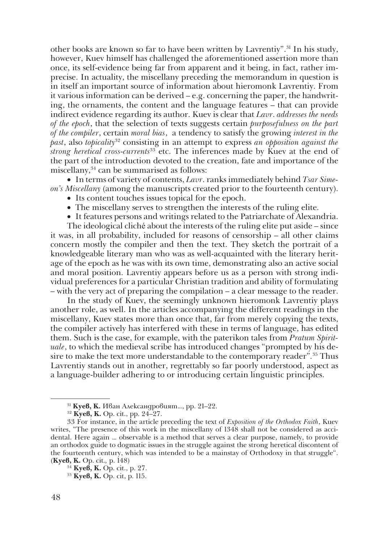other books are known so far to have been written by Lavrentiy".31 In his study, however, Kuev himself has challenged the aforementioned assertion more than once, its self-evidence being far from apparent and it being, in fact, rather imprecise. In actuality, the miscellany preceding the memorandum in question is in itself an important source of information about hieromonk Lavrentiy. From it various information can be derived – e.g. concerning the paper, the handwriting, the ornaments, the content and the language features – that can provide indirect evidence regarding its author. Kuev is clear that *Lavr*. *addresses the needs of the epoch*, that the selection of texts suggests certain *purposefulness on the part of the compiler*, certain *moral bias*, a tendency to satisfy the growing *interest in the past*, also *topicality*<sup>32</sup> consisting in an attempt to express *an opposition against the strong heretical cross-currents<sup>33</sup>* etc. The inferences made by Kuev at the end of the part of the introduction devoted to the creation, fate and importance of the miscellany,<sup>34</sup> can be summarised as follows:

• In terms of variety of contents, *Lavr*. ranks immediately behind *Tsar Simeon's Miscellany* (among the manuscripts created prior to the fourteenth century).

- Its content touches issues topical for the epoch.
- The miscellany serves to strengthen the interests of the ruling elite.
- It features persons and writings related to the Patriarchate of Alexandria.

The ideological cliché about the interests of the ruling elite put aside – since it was, in all probability, included for reasons of censorship – all other claims concern mostly the compiler and then the text. They sketch the portrait of a knowledgeable literary man who was as well-acquainted with the literary heritage of the epoch as he was with its own time, demonstrating also an active social and moral position. Lavrentiy appears before us as a person with strong individual preferences for a particular Christian tradition and ability of formulating – with the very act of preparing the compilation – a clear message to the reader.

In the study of Kuev, the seemingly unknown hieromonk Lavrentiy plays another role, as well. In the articles accompanying the different readings in the miscellany, Kuev states more than once that, far from merely copying the texts, the compiler actively has interfered with these in terms of language, has edited them. Such is the case, for example, with the paterikon tales from *Pratum Spirituale*, to which the medieval scribe has introduced changes "prompted by his desire to make the text more understandable to the contemporary reader"*.* 35 Thus Lavrentiy stands out in another, regrettably so far poorly understood, aspect as a language-builder adhering to or introducing certain linguistic principles.

<sup>31</sup> **Куев, К.** Иван Александровият…, pp. 21–22.

<sup>32</sup> **Куев, К.** Op. cit., pp. 24–27.

<sup>33</sup> For instance, in the article preceding the text of *Exposition of the Orthodox Faith*, Kuev writes, "The presence of this work in the miscellany of 1348 shall not be considered as accidental. Here again … observable is a method that serves a clear purpose, namely, to provide an orthodox guide to dogmatic issues in the struggle against the strong heretical discontent of the fourteenth century, which was intended to be a mainstay of Orthodoxy in that struggle". (**Куев, К.** Op. cit*.,* p. 148)

<sup>34</sup> **Куев, К.** Op. cit., p. 27.

<sup>35</sup> **Куев, К.** Op. cit, p. 115.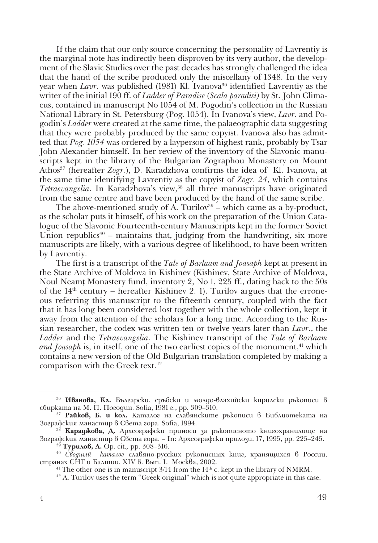If the claim that our only source concerning the personality of Lavrentiy is the marginal note has indirectly been disproven by its very author, the development of the Slavic Studies over the past decades has strongly challenged the idea that the hand of the scribe produced only the miscellany of 1348. In the very year when *Lavr*. was published (1981) Kl. Ivanova<sup>36</sup> identified Lavrentiy as the writer of the initial 190 ff. of *Ladder of Paradise* (*Scala paradisi)* by St. John Climacus, contained in manuscript No 1054 of M. Pogodin's collection in the Russian National Library in St. Petersburg (Pog. 1054). In Ivanova's view, *Lavr.* and Pogodin's *Ladder* were created at the same time, the palaeographic data suggesting that they were probably produced by the same copyist. Ivanova also has admitted that *Pog. 1054* was ordered by a layperson of highest rank, probably by Tsar John Alexander himself. In her review of the inventory of the Slavonic manuscripts kept in the library of the Bulgarian Zographou Monastery on Mount Athos37 (hereafter *Zogr.*), D. Karadzhova confirms the idea of Kl. Ivanova, at the same time identifying Lavrentiy as the copyist of *Zogr. 24*, which contains *Tetraevangelia*. In Karadzhova's view,<sup>38</sup> all three manuscripts have originated from the same centre and have been produced by the hand of the same scribe.

The above-mentioned study of  $\overrightarrow{A}$ . Turilov<sup>39</sup> – which came as a by-product, as the scholar puts it himself, of his work on the preparation of the Union Catalogue of the Slavonic Fourteenth-century Manuscripts kept in the former Soviet Union republics<sup>40</sup> – maintains that, judging from the handwriting, six more manuscripts are likely, with a various degree of likelihood, to have been written by Lavrentiy.

The first is a transcript of the *Tale of Barlaam and Joasaph* kept at present in the State Archive of Moldova in Kishinev (Kishinev, State Archive of Moldova, Noul Neamţ Monastery fund, inventory 2, No 1, 225 ff., dating back to the 50s of the  $14<sup>th</sup>$  century – hereafter Kishinev 2. 1). Turilov argues that the erroneous referring this manuscript to the fifteenth century, coupled with the fact that it has long been considered lost together with the whole collection, kept it away from the attention of the scholars for a long time. According to the Russian researcher, the codex was written ten or twelve years later than *Lavr.*, the *Ladder* and the *Tetraevangelia*. The Kishinev transcript of the *Tale of Barlaam and Joasaph* is, in itself, one of the two earliest copies of the monument,<sup>41</sup> which contains a new version of the Old Bulgarian translation completed by making a comparison with the Greek text.<sup>42</sup>

<sup>&</sup>lt;sup>36</sup> Иванова, Кл. Български, сръбски и молдо-влахийски кирилски ръкописи в сбирката на М. П. Погодин. Sofia, 1981 г., pp. 309–310.

<sup>&</sup>lt;sup>37</sup> Райков, Б. и кол. Каталог на славянските ръкописи в Библиотеката на Зографския манастир в Света гора. Sofia, 1994.

<sup>38</sup> **Караджова, Д.** Археографски приноси за ръкописното книгохранилище на Зографския манастир в Света гора. – In: Археографски прилози, 17, 1995, pp. 225–245. 39 **Турилов, А.** Op. cit*.,* pp. 308–316.

<sup>&</sup>lt;sup>40</sup> Сводный каталог славяно-русских рукописных книг, хранящихся в России, странах СНГ и Балтии. ХІV в. Вып. І. Москва, 2002.

<sup>&</sup>lt;sup>42</sup> A. Turilov uses the term "Greek original" which is not quite appropriate in this case.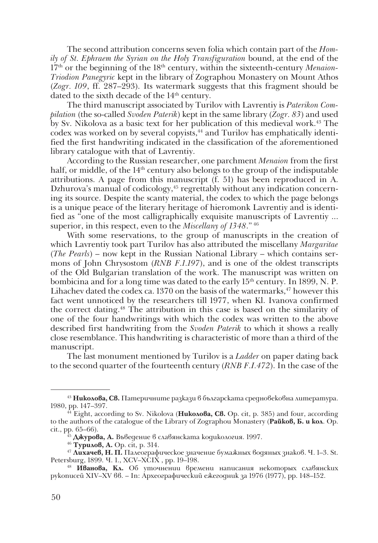The second attribution concerns seven folia which contain part of the *Homily of St. Ephraem the Syrian on the Holy Transfiguration* bound, at the end of the 17th or the beginning of the 18th century, within the sixteenth-century *Menaion-Triodion Panegyric* kept in the library of Zographou Monastery on Mount Athos (*Zogr. 109*, ff. 287–293). Its watermark suggests that this fragment should be dated to the sixth decade of the 14<sup>th</sup> century.

The third manuscript associated by Turilov with Lavrentiy is *Paterikon Compilation* (the so-called *Svoden Paterik*) kept in the same library (*Zogr. 83*) and used by Sv. Nikolova as a basic text for her publication of this medieval work.43 The codex was worked on by several copyists,<sup>44</sup> and Turilov has emphatically identified the first handwriting indicated in the classification of the aforementioned library catalogue with that of Lavrentiy.

According to the Russian researcher, one parchment *Menaion* from the first half, or middle, of the  $14<sup>th</sup>$  century also belongs to the group of the indisputable attributions. A page from this manuscript (f. 51) has been reproduced in A. Dzhurova's manual of codicology,<sup>45</sup> regrettably without any indication concerning its source. Despite the scanty material, the codex to which the page belongs is a unique peace of the literary heritage of hieromonk Lavrentiy and is identified as "one of the most calligraphically exquisite manuscripts of Lavrentiy ... superior, in this respect, even to the *Miscellany of 1348*." 46

With some reservations, to the group of manuscripts in the creation of which Lavrentiy took part Turilov has also attributed the miscellany *Margaritae* (*The Pearls*) – now kept in the Russian National Library – which contains sermons of John Chrysostom (*RNB F.1.197*), and is one of the oldest transcripts of the Old Bulgarian translation of the work. The manuscript was written on bombicina and for a long time was dated to the early 15<sup>th</sup> century. In 1899, N. P. Lihachev dated the codex ca. 1370 on the basis of the watermarks,  $47$  however this fact went unnoticed by the researchers till 1977, when Kl. Ivanova confirmed the correct dating.48 The attribution in this case is based on the similarity of one of the four handwritings with which the codex was written to the above described first handwriting from the *Svoden Paterik* to which it shows a really close resemblance. This handwriting is characteristic of more than a third of the manuscript.

The last monument mentioned by Turilov is a *Ladder* on paper dating back to the second quarter of the fourteenth century (*RNB F.I.472*). In the case of the

<sup>43</sup> **Николова, Св.** Патеричните разкази в българската средновековна литература. 1980, pp. 147–397.

<sup>44</sup> Eight, according to Sv. Nikolova (**Николова, Св.** Op. cit, p. 385) and four, according to the authors of the catalogue of the Library of Zographou Monastery (**Райков, Б. и кол**. Op. cit., pp. 65–66).

<sup>45</sup> **Джурова, А.** Въведение в славянската кодикология. 1997.

<sup>46</sup> **Турилов, А.** Op. cit, p. 314.

<sup>47</sup> **Лихачев, Н. П.** Палеографическое значение бумажных водяных знаков. Ч. 1–3. St. Petersburg, 1899. Ч. 1., ХСV–ХСІХ , pp. 19–198.

<sup>48</sup> **Иванова, Кл.** Об уточнении времени написания некоторых славянских рукописей ХІV–ХV вв. – In: Археографический ежегодник за 1976 (1977), pp. 148–152.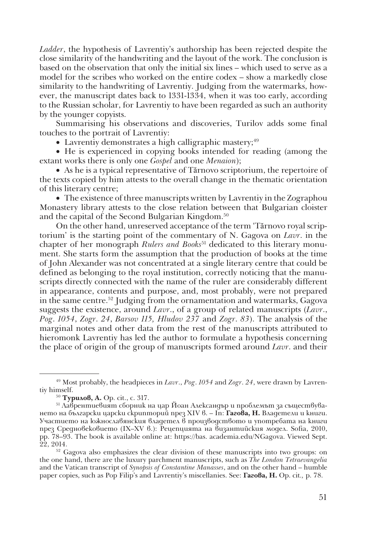*Ladder*, the hypothesis of Lavrentiy's authorship has been rejected despite the close similarity of the handwriting and the layout of the work. The conclusion is based on the observation that only the initial six lines – which used to serve as a model for the scribes who worked on the entire codex – show a markedly close similarity to the handwriting of Lavrentiy. Judging from the watermarks, however, the manuscript dates back to 1331-1334, when it was too early, according to the Russian scholar, for Lavrentiy to have been regarded as such an authority by the younger copyists.

Summarising his observations and discoveries, Turilov adds some final touches to the portrait of Lavrentiy:

• Lavrentiy demonstrates a high calligraphic mastery; $49$ 

• He is experienced in copying books intended for reading (among the extant works there is only one *Gospel* and one *Menaion*);

• As he is a typical representative of Tărnovo scriptorium, the repertoire of the texts copied by him attests to the overall change in the thematic orientation of this literary centre;

• The existence of three manuscripts written by Lavrentiy in the Zographou Monastery library attests to the close relation between that Bulgarian cloister and the capital of the Second Bulgarian Kingdom.50

On the other hand, unreserved acceptance of the term 'Tărnovo royal scriptorium' is the starting point of the commentary of N. Gagova on *Lavr*. in the chapter of her monograph *Rulers and Books*51 dedicated to this literary monument. She starts form the assumption that the production of books at the time of John Alexander was not concentrated at a single literary centre that could be defined as belonging to the royal institution, correctly noticing that the manuscripts directly connected with the name of the ruler are considerably different in appearance, contents and purpose, and, most probably, were not prepared in the same centre.52 Judging from the ornamentation and watermarks, Gagova suggests the existence, around *Lavr*., of a group of related manuscripts (*Lavr*., *Pog*. *1054*, *Zogr*. *24*, *Barsov 115, Hludov 237* and *Zogr*. *83*). The analysis of the marginal notes and other data from the rest of the manuscripts attributed to hieromonk Lavrentiy has led the author to formulate a hypothesis concerning the place of origin of the group of manuscripts formed around *Lavr*. and their

<sup>49</sup> Most probably, the headpieces in *Lavr*., *Pog*. *1054* and *Zogr*. *24*, were drawn by Lavrentiy himself.<br> $^{50}$  Typu $\alpha$ oß, A. Op. cit., c. 317.

<sup>&</sup>lt;sup>51</sup> Лаврентиевият сборник на цар Йоан Александър и проблемът за съществуването на български царски скрипторий през ХІV в. – In: **Гагова, Н.** Владетели и книги. Участието на южнославянския владетел в производството и употребата на книги през Средновековието (ІХ–ХV в.): Рецепцията на византийския модел. Sofia, 2010, pp. 78–93. The book is available online at: https://bas. academia.edu/NGagova. Viewed Sept.

<sup>&</sup>lt;sup>52</sup> Gagova also emphasizes the clear division of these manuscripts into two groups: on the one hand, there are the luxury parchment manuscripts, such as *The London Tetraevangelia* and the Vatican transcript of *Synopsis of Constantine Manasses*, and on the other hand – humble paper copies, such as Pop Filip's and Lavrentiy's miscellanies. See: **Гагова, Н.** Op. cit*.,* p. 78.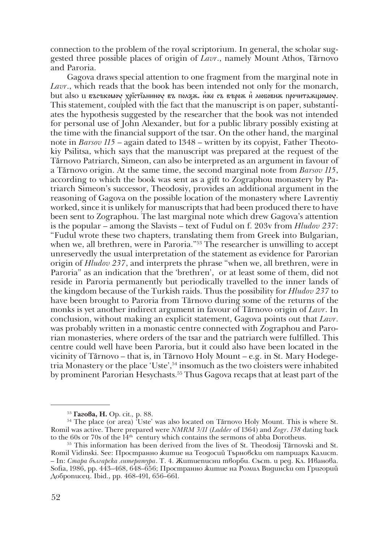connection to the problem of the royal scriptorium. In general, the scholar suggested three possible places of origin of *Lavr*., namely Mount Athos, Tărnovo and Paroria.

Gagova draws special attention to one fragment from the marginal note in *Lavr*., which reads that the book has been intended not only for the monarch,  $b$ ut also и въсъкомоу хрістіаниноу въ ползж. иже съ върож и любовиж прочитажщомоу. This statement, coupled with the fact that the manuscript is on paper, substantiates the hypothesis suggested by the researcher that the book was not intended for personal use of John Alexander, but for a public library possibly existing at the time with the financial support of the tsar. On the other hand, the marginal note in *Barsov 115* – again dated to 1348 – written by its copyist, Father Theotokiy Psilitsa, which says that the manuscript was prepared at the request of the Tărnovo Patriarch, Simeon, can also be interpreted as an argument in favour of a Tărnovo origin. At the same time, the second marginal note from *Barsov 115*, according to which the book was sent as a gift to Zographou monastery by Patriarch Simeon's successor, Theodosiy, provides an additional argument in the reasoning of Gagova on the possible location of the monastery where Lavrentiy worked, since it is unlikely for manuscripts that had been produced there to have been sent to Zographou. The last marginal note which drew Gagova's attention is the popular – among the Slavists – text of Fudul on f. 203v from *Hludov 237*: "Fudul wrote these two chapters, translating them from Greek into Bulgarian, when we, all brethren, were in Paroria.<sup>"53</sup> The researcher is unwilling to accept unreservedly the usual interpretation of the statement as evidence for Parorian origin of *Hludov 237*, and interprets the phrase "when we, all brethren, were in Paroria" as an indication that the 'brethren', or at least some of them, did not reside in Paroria permanently but periodically travelled to the inner lands of the kingdom because of the Turkish raids. Thus the possibility for *Hludov 237* to have been brought to Paroria from Tărnovo during some of the returns of the monks is yet another indirect argument in favour of Tărnovo origin of *Lavr*. In conclusion, without making an explicit statement, Gagova points out that *Lavr*. was probably written in a monastic centre connected with Zographou and Parorian monasteries, where orders of the tsar and the patriarch were fulfilled. This centre could well have been Paroria, but it could also have been located in the vicinity of Tărnovo – that is, in Tărnovo Holy Mount – e.g. in St. Mary Hodegetria Monastery or the place 'Uste',54 insomuch as the two cloisters were inhabited by prominent Parorian Hesychasts.55 Thus Gagova recaps that at least part of the

<sup>&</sup>lt;sup>53</sup> **Гагова, Н.** Op. cit., p. 88.<br><sup>54</sup> The place (or area) 'Uste' was also located on Tărnovo Holy Mount. This is where St. Romil was active. There prepared were *NMRM 3/11* (*Lаdder* of 1364) and *Zogr*. *138* dating back

<sup>&</sup>lt;sup>55</sup> This information has been derived from the lives of St. Theodosij Tărnovski and St. Romil Vidinski. See: Пространно житие на Теодосий Търновски от патриарх Калист. – In: *Стара българска литература*. Т. 4. Житиеписни творби. Съст. и ред. Кл. Иванова. Sofia, 1986, pp. 443–468, 648–656; Пространно житие на Ромил Видински от Григорий Доброписец. Ibid., pp. 468-491, 656–661.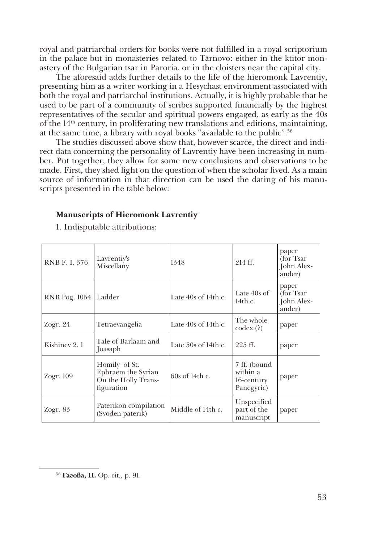royal and patriarchal orders for books were not fulfilled in a royal scriptorium in the palace but in monasteries related to Tărnovo: either in the ktitor monastery of the Bulgarian tsar in Paroria, or in the cloisters near the capital city.

The aforesaid adds further details to the life of the hieromonk Lavrentiy, presenting him as a writer working in a Hesychast environment associated with both the royal and patriarchal institutions. Actually, it is highly probable that he used to be part of a community of scribes supported financially by the highest representatives of the secular and spiritual powers engaged, as early as the 40s of the  $14<sup>th</sup>$  century, in proliferating new translations and editions, maintaining, at the same time, a library with royal books "available to the public".56

The studies discussed above show that, however scarce, the direct and indirect data concerning the personality of Lavrentiy have been increasing in number. Put together, they allow for some new conclusions and observations to be made. First, they shed light on the question of when the scholar lived. As a main source of information in that direction can be used the dating of his manuscripts presented in the table below:

### **Manuscripts of Hieromonk Lavrentiy**

1. Indisputable attributions:

| RNB F. I. 376 | Lavrentiy's<br>Miscellany                                                | 1348                  | 214 ff.                                              | paper<br>(for Tsar<br>John Alex-<br>ander)  |
|---------------|--------------------------------------------------------------------------|-----------------------|------------------------------------------------------|---------------------------------------------|
| RNB Pog. 1054 | Ladder                                                                   | Late $40s$ of 14th c. | Late $40s$ of<br>14th $c$ .                          | paper<br>(for Tsar)<br>John Alex-<br>ander) |
| Zogr. 24      | Tetraevangelia                                                           | Late $40s$ of 14th c. | The whole<br>$\text{codex}\,(?)$                     | paper                                       |
| Kishinev 2.1  | Tale of Barlaam and<br>Joasaph                                           | Late $50s$ of 14th c. | $225$ ff.                                            | paper                                       |
| Zogr. 109     | Homily of St.<br>Ephraem the Syrian<br>On the Holly Trans-<br>figuration | 60s of 14th c.        | 7 ff. (bound<br>within a<br>16-century<br>Panegyric) | paper                                       |
| Zogr. 83      | Paterikon compilation<br>(Svoden paterik)                                | Middle of 14th c.     | Unspecified<br>part of the<br>manuscript             | paper                                       |

<sup>56</sup> **Гагова, Н.** Op. cit*.,* p. 91.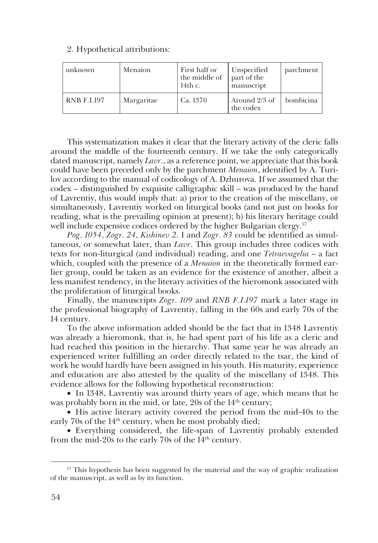#### 2. Hypothetical attributions:

| unknown            | Menaion    | First half or<br>the middle of<br>14th c. | Unspecified<br>part of the<br>manuscript | parchment |
|--------------------|------------|-------------------------------------------|------------------------------------------|-----------|
| <b>RNB F.I.197</b> | Margaritae | Ca. 1370                                  | Around 2/3 of<br>the codex               | bombicina |

This systematization makes it clear that the literary activity of the cleric falls around the middle of the fourteenth century. If we take the only categorically dated manuscript, namely *Lavr*., as a reference point, we appreciate that this book could have been preceded only by the parchment *Menaion*, identified by A. Turilov according to the manual of codicology of A. Dzhurova. If we assumed that the codex – distinguished by exquisite calligraphic skill – was produced by the hand of Lavrentiy, this would imply that: a) prior to the creation of the miscellany, or simultaneously, Lavrentiy worked on liturgical books (and not just on books for reading, what is the prevailing opinion at present); b) his literary heritage could well include expensive codices ordered by the higher Bulgarian clergy.<sup>57</sup>

*Pog. 1054*, *Zogr. 24*, *Kishinev 2.* 1 and *Zogr. 83* could be identified as simultaneous, or somewhat later, than *Lavr*. This group includes three codices with texts for non-liturgical (and individual) reading, and one *Tetraevagelia* – a fact which, coupled with the presence of a *Menaion* in the theoretically formed earlier group, could be taken as an evidence for the existence of another, albeit a less manifest tendency, in the literary activities of the hieromonk associated with the proliferation of liturgical books.

Finally, the manuscripts *Zogr. 109* and *RNB F.I.197* mark a later stage in the professional biography of Lavrentiy, falling in the 60s and early 70s of the 14 century.

To the above information added should be the fact that in 1348 Lavrentiy was already a hieromonk, that is, he had spent part of his life as a cleric and had reached this position in the hierarchy. That same year he was already an experienced writer fulfilling an order directly related to the tsar, the kind of work he would hardly have been assigned in his youth. His maturity, experience and education are also attested by the quality of the miscellany of 1348. This evidence allows for the following hypothetical reconstruction:

• In 1348, Lavrentiy was around thirty years of age, which means that he was probably born in the mid, or late,  $20s$  of the  $14<sup>th</sup>$  century;

• His active literary activity covered the period from the mid-40s to the early 70s of the 14<sup>th</sup> century, when he most probably died;

• Everything considered, the life-span of Lavrentiy probably extended from the mid-20s to the early 70s of the  $14<sup>th</sup>$  century.

<sup>&</sup>lt;sup>57</sup> This hypothesis has been suggested by the material and the way of graphic realization of the manuscript, as well as by its function.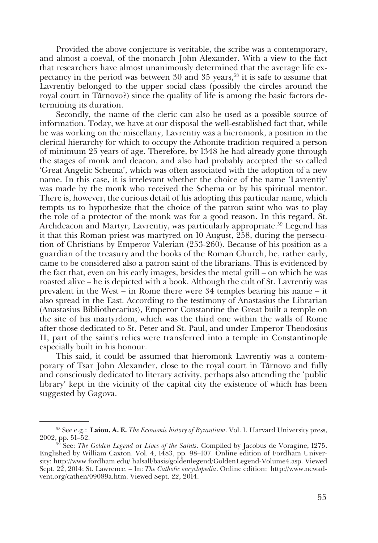Provided the above conjecture is veritable, the scribe was a contemporary, and almost a coeval, of the monarch John Alexander. With a view to the fact that researchers have almost unanimously determined that the average life expectancy in the period was between  $30$  and  $35$  years,<sup>58</sup> it is safe to assume that Lavrentiy belonged to the upper social class (possibly the circles around the royal court in Tărnovo?) since the quality of life is among the basic factors determining its duration.

Secondly, the name of the cleric can also be used as a possible source of information. Today, we have at our disposal the well-established fact that, while he was working on the miscellany, Lavrentiy was a hieromonk, a position in the clerical hierarchy for which to occupy the Athonite tradition required a person of minimum 25 years of age. Therefore, by 1348 he had already gone through the stages of monk and deacon, and also had probably accepted the so called 'Great Angelic Schema', which was often associated with the adoption of a new name. In this case, it is irrelevant whether the choice of the name 'Lavrentiy' was made by the monk who received the Schema or by his spiritual mentor. There is, however, the curious detail of his adopting this particular name, which tempts us to hypothesize that the choice of the patron saint who was to play the role of a protector of the monk was for a good reason. In this regard, St. Archdeacon and Martyr, Lavrentiy, was particularly appropriate.<sup>59</sup> Legend has it that this Roman priest was martyred on 10 August, 258, during the persecution of Christians by Emperor Valerian (253-260). Because of his position as a guardian of the treasury and the books of the Roman Church, he, rather early, came to be considered also a patron saint of the librarians. This is evidenced by the fact that, even on his early images, besides the metal grill – on which he was roasted alive – he is depicted with a book. Although the cult of St. Lavrentiy was prevalent in the West – in Rome there were 34 temples bearing his name – it also spread in the East. According to the testimony of Anastasius the Librarian (Anastasius Bibliothecarius), Emperor Constantine the Great built a temple on the site of his martyrdom, which was the third one within the walls of Rome after those dedicated to St. Peter and St. Paul, and under Emperor Theodosius II, part of the saint's relics were transferred into a temple in Constantinople especially built in his honour.

This said, it could be assumed that hieromonk Lavrentiy was a contemporary of Tsar John Alexander, close to the royal court in Tărnovo and fully and consciously dedicated to literary activity, perhaps also attending the 'public library' kept in the vicinity of the capital city the existence of which has been suggested by Gagova.

<sup>58</sup> See e.g.: **Laiou, A. E.** *The Economic history of Byzantium*. Vol. I. Harvard University press, 2002, pp. 51–52. 59 See: *The Golden Legend* or *Lives of the Saints*. Compiled by Jacobus de Voragine, 1275.

Englished by William Caxton. Vol. 4, 1483, pp. 98–107. Online edition of Fordham University: http://www.fordham.edu/ halsall/basis/goldenlegend/GoldenLegend-Volume4.asp. Viewed Sept. 22, 2014; St. Lawrence. – In: *The Catholic encyclopedia*. Online edition: http://www.newadvent.org/cathen/09089a.htm. Viewed Sept. 22, 2014.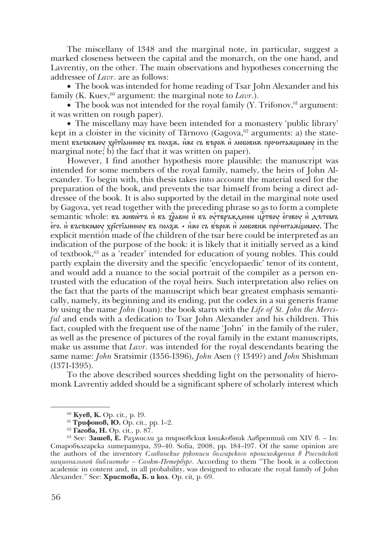The miscellany of 1348 and the marginal note, in particular, suggest a marked closeness between the capital and the monarch, on the one hand, and Lavrentiy, on the other. The main observations and hypotheses concerning the addressee of *Lavr*. are as follows:

• The book was intended for home reading of Tsar John Alexander and his family (K. Kuev,<sup>60</sup> argument: the marginal note to *Lavr*.).

• The book was not intended for the royal family  $(Y$ . Trifonov,  $61$  argument: it was written on rough paper).

• The miscellany may have been intended for a monastery 'public library' kept in a cloister in the vicinity of Tărnovo (Gagova, $62$  arguments: a) the statement въсъкомо хрітіанино въ ползж. иже съ върожий любовиж прочитажщомо in the marginal note; b) the fact that it was written on paper).

However, I find another hypothesis more plausible: the manuscript was intended for some members of the royal family, namely, the heirs of John Alexander. To begin with, this thesis takes into account the material used for the preparation of the book, and prevents the tsar himself from being a direct addressee of the book. It is also supported by the detail in the marginal note used by Gagova, yet read together with the preceding phrase so as to form a complete semantic whole: въ животъ и въ зравне и въ оутвръждение цртвоу еговоу и дътемъ е́го. И въсъкомоу хрїстіаниноу въ пол $\rm\vec{z}_X$  • иже съ въро́ $\rm\vec{x}$  и любови $\rm\vec{x}$  прочита $\rm\vec{x}$ щомоу. The explicit mention made of the children of the tsar here could be interpreted as an indication of the purpose of the book: it is likely that it initially served as a kind of textbook, $63$  as a 'reader' intended for education of young nobles. This could partly explain the diversity and the specific 'encyclopaedic' tenor of its content, and would add a nuance to the social portrait of the compiler as a person entrusted with the education of the royal heirs. Such interpretation also relies on the fact that the parts of the manuscript which bear greatest emphasis semantically, namely, its beginning and its ending, put the codex in a sui generis frame by using the name *John* (Ioan): the book starts with the *Life of St. John the Merciful* and ends with a dedication to Tsar John Alexander and his children. This fact, coupled with the frequent use of the name 'John' in the family of the ruler, as well as the presence of pictures of the royal family in the extant manuscripts, make us assume that *Lavr*. was intended for the royal descendants bearing the same name: *John* Sratsimir (1356-1396), *John* Asen († 1349?) and *John* Shishman (1371-1395).

To the above described sources shedding light on the personality of hieromonk Lavrentiy added should be a significant sphere of scholarly interest which

<sup>60</sup> **Куев, К.** Op. cit*.,* p. 19.

<sup>61</sup> **Трифонов, Ю.** Op. cit*.,* pp. 1–2. 62 **Гагова, Н.** Op. cit*.,* p. 87. 63 See: **Зашев, Е.** Размисли за търновския книжовник Лаврентий от ХІV в. – In: Старобългарска литература, 39–40. Sofia, 2008, pp. 184–197. Of the same opinion are the authors of the inventory *Славянские рукописи болгарского происхождения в Российской национальной библиотеке – Санкт-Петербург.* According to them "The book is a collection academic in content and, in all probability, was designed to educate the royal family of John Alexander." See: **Христова, Б. и кол**. Op. cit*,* p. 69.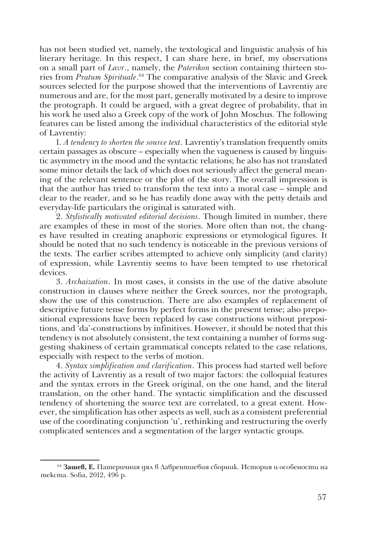has not been studied yet, namely, the textological and linguistic analysis of his literary heritage. In this respect, I can share here, in brief, my observations on a small part of *Lavr*., namely, the *Paterikon* section containing thirteen stories from *Pratum Spirituale*. 64 The comparative analysis of the Slavic and Greek sources selected for the purpose showed that the interventions of Lavrentiy are numerous and are, for the most part, generally motivated by a desire to improve the protograph. It could be argued, with a great degree of probability, that in his work he used also a Greek copy of the work of John Moschus. The following features can be listed among the individual characteristics of the editorial style of Lavrentiy:

1. *A tendency to shorten the source text*. Lavrentiy's translation frequently omits certain passages as obscure – especially when the vagueness is caused by linguistic asymmetry in the mood and the syntactic relations; he also has not translated some minor details the lack of which does not seriously affect the general meaning of the relevant sentence or the plot of the story. The overall impression is that the author has tried to transform the text into a moral case – simple and clear to the reader, and so he has readily done away with the petty details and everyday-life particulars the original is saturated with.

2. *Stylistically motivated editorial decisions*. Though limited in number, there are examples of these in most of the stories. More often than not, the changes have resulted in creating anaphoric expressions or etymological figures. It should be noted that no such tendency is noticeable in the previous versions of the texts. The earlier scribes attempted to achieve only simplicity (and clarity) of expression, while Lavrentiy seems to have been tempted to use rhetorical devices.

3. *Archaization*. In most cases, it consists in the use of the dative absolute construction in clauses where neither the Greek sources, nor the protograph, show the use of this construction. There are also examples of replacement of descriptive future tense forms by perfect forms in the present tense; also prepositional expressions have been replaced by case constructions without prepositions, and 'da'-constructions by infinitives. However, it should be noted that this tendency is not absolutely consistent, the text containing a number of forms suggesting shakiness of certain grammatical concepts related to the case relations, especially with respect to the verbs of motion.

4. *Syntax simplification and clarification*. This process had started well before the activity of Lavrentiy as a result of two major factors: the colloquial features and the syntax errors in the Greek original, on the one hand, and the literal translation, on the other hand. The syntactic simplification and the discussed tendency of shortening the source text are correlated, to a great extent. However, the simplification has other aspects as well, such as a consistent preferential use of the coordinating conjunction 'и', rethinking and restructuring the overly complicated sentences and a segmentation of the larger syntactic groups.

<sup>64</sup> **Зашев, Е.** Патеричния дял в Лаврентиевия сборник. История и особености на текста. Sofia, 2012, 496 p.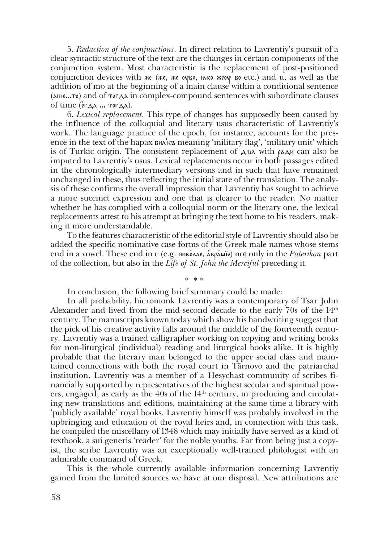5. *Redaction of the conjunctions*. In direct relation to Lavrentiy's pursuit of a clear syntactic structure of the text are the changes in certain components of the conjunction system. Most characteristic is the replacement of post-positioned conjunction devices with же (же, же  $\alpha$ ко, како же $\alpha$  во etc.) and u, as well as the addition of mo at the beginning of a main clause within a conditional sentence (аше...то) and of тогда in complex-compound sentences with subordinate clauses of time  $(\epsilon_{\mathsf{F,A}}$ а ... тогда).

6. *Lexical replacement.* This type of changes has supposedly been caused by the influence of the colloquial and literary usus characteristic of Lavrentiy's work. The language practice of the epoch, for instance, accounts for the presence in the text of the hapax бил°къ meaning 'military flag', 'military unit' which is of Turkic origin. The consistent replacement of  $A \in \mathcal{A}$  with  $\alpha A \in \mathcal{A}$  and also be imputed to Lavrentiy's usus. Lexical replacements occur in both passages edited in the chronologically intermediary versions and in such that have remained unchanged in these, thus reflecting the initial state of the translation. The analysis of these confirms the overall impression that Lavrentiy has sought to achieve a more succinct expression and one that is clearer to the reader. No matter whether he has complied with a colloquial norm or the literary one, the lexical replacements attest to his attempt at bringing the text home to his readers, making it more understandable.

To the features characteristic of the editorial style of Lavrentiy should also be added the specific nominative case forms of the Greek male names whose stems end in a vowel. These end in е (e.g. нико'лае, а…вра'м·е) not only in the *Paterikon* part of the collection, but also in the *Life of St. John the Merciful* preceding it.

\* \* \*

In conclusion, the following brief summary could be made:

In all probability, hieromonk Lavrentiy was a contemporary of Tsar John Alexander and lived from the mid-second decade to the early 70s of the  $14<sup>th</sup>$ century. The manuscripts known today which show his handwriting suggest that the pick of his creative activity falls around the middle of the fourteenth century. Lavrentiy was a trained calligrapher working on copying and writing books for non-liturgical (individual) reading and liturgical books alike. It is highly probable that the literary man belonged to the upper social class and maintained connections with both the royal court in Tărnovo and the patriarchal institution. Lavrentiy was a member of a Hesychast community of scribes financially supported by representatives of the highest secular and spiritual powers, engaged, as early as the 40s of the  $14<sup>th</sup>$  century, in producing and circulating new translations and editions, maintaining at the same time a library with 'publicly available' royal books. Lavrentiy himself was probably involved in the upbringing and education of the royal heirs and, in connection with this task, he compiled the miscellany of 1348 which may initially have served as a kind of textbook, a sui generis 'reader' for the noble youths. Far from being just a copyist, the scribe Lavrentiy was an exceptionally well-trained philologist with an admirable command of Greek.

This is the whole currently available information concerning Lavrentiy gained from the limited sources we have at our disposal. New attributions are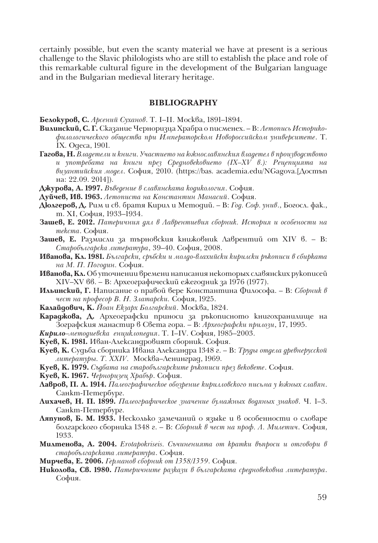certainly possible, but even the scanty material we have at present is a serious challenge to the Slavic philologists who are still to establish the place and role of this remarkable cultural figure in the development of the Bulgarian language and in the Bulgarian medieval literary heritage.

#### **BIBLIOGRAPHY**

**Белокуров, С.** *Арсений Суханов*. Т. І–ІІ. Москва, 1891–1894.

- **Вилинский, С. Г.** Сказание Черноризца Храбра о писменех. В: *Летопись Историкофилологического общества при Императорском Новороссийском университете*. Т. ІХ. Одеса, 1901.
- **Гагова, Н.** *Владетели и книги. Участието на южнославянския владетел в производството и употребата на книги през Средновековието (ІХ–ХV в.): Рецепцията на византийския модел*. София, 2010. (https://bas. academia.edu/NGagova.[Достъп на: 22.09. 2014]).
- **Джурова, А. 1997.** *Въведение в славянската кодикология*. София.
- **Дуйчев, Ив. 1963.** *Летописта на Константин Манасий*. София.
- **Дюлгеров, Д.** Рим и св. братя Кирил и Методий. В: *Год. Соф. унив*., Богосл. фак., т. ХІ, София, 1933–1934.
- **Зашев, Е. 2012.** *Патеричния дял в Лаврентиевия сборник. История и особености на текста*. София.
- **Зашев, Е.** Размисли за търновския книжовник Лаврентий от ХІV в. В: *Старобългарска литература*, 39–40. София, 2008.
- **Иванова, Кл. 1981.** *Български, сръбски и молдо-влахийски кирилски ръкописи в сбирката на М. П. Погодин.* София.
- **Иванова, Кл.** Об уточнении времени написания некоторых славянских рукописей ХІV–ХV вв. – В: Археографический ежегодник за 1976 (1977).
- **Ильинский, Г.** Написание о правой вере Константина Философа. В: *Сборник в чест на професор В. Н. Златарски.* София, 1925.
- **Калайдович, К.** *Йоан Екзарх Болгарский*. Москва, 1824.
- **Караджова, Д.** Археографски приноси за ръкописното книгохранилище на Зографския манастир в Света гора. – В: *Археографски прилози*, 17, 1995.
- *Кирило–методиевска енциклопедия*. Т. І–ІV. София, 1985–2003.
- **Куев, К. 1981.** Иван-Александровият сборник. София.
- **Куев, К.** Судьба сборника Ивана Александра 1348 г. В: *Труды отдела древнерусской литературы. Т. ХХІV.* Москва–Ленинград, 1969.
- **Куев, К. 1979.** *Съдбата на старобългарските ръкописи през вековете*. София.
- **Куев, К. 1967.** *Черноризец Храбър*. София.
- **Лавров, П. А. 1914.** *Палеографическое обозрение кирилловского письма у южных славян*. Санкт-Петербург.
- **Лихачев, Н. П. 1899.** *Палеографическое значение бумажных водяных знаков*. Ч. 1–3. Санкт-Петербург.
- **Ляпунов, Б. М. 1933.** Несколько замечаний о языке и в особенности о словаре болгарского сборника 1348 г. – В: *Сборник в чест на проф. Л. Милетич*. София, 1933.
- **Милтенова, А. 2004.** *Erotapokriseis. Съчиненията от кратки въпроси и отговори в старобългарската литература*. София.
- **Мирчева, Е. 2006.** *Германов сборник от 1358/1359*. София.
- **Николова, Св. 1980.** *Патеричните разкази в българската средновековна литература*. София.